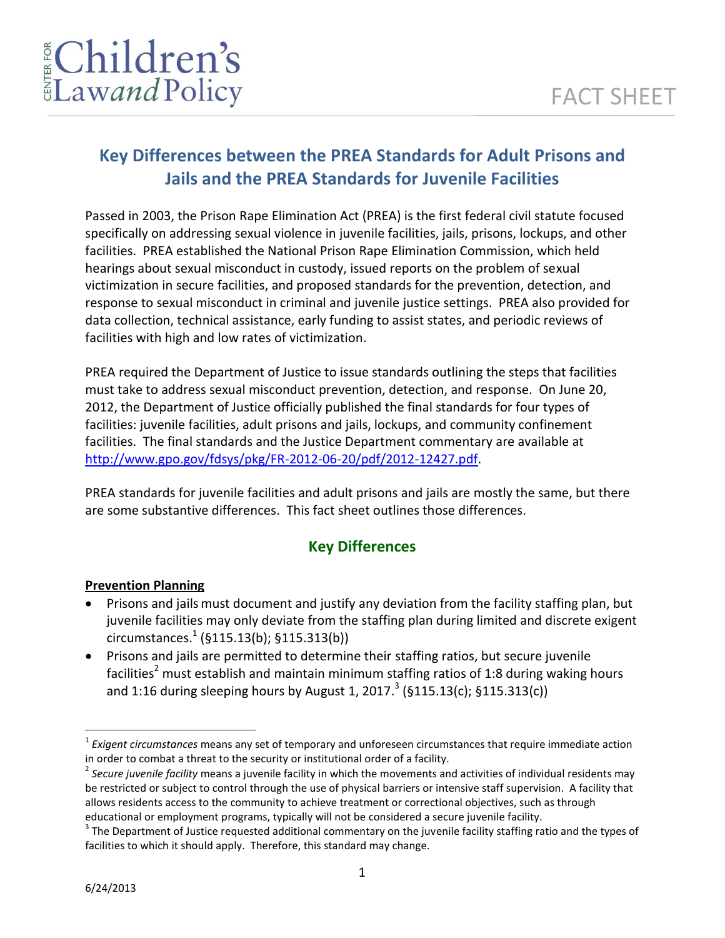# **Key Differences between the PREA Standards for Adult Prisons and Jails and the PREA Standards for Juvenile Facilities**

Passed in 2003, the Prison Rape Elimination Act (PREA) is the first federal civil statute focused specifically on addressing sexual violence in juvenile facilities, jails, prisons, lockups, and other facilities. PREA established the National Prison Rape Elimination Commission, which held hearings about sexual misconduct in custody, issued reports on the problem of sexual victimization in secure facilities, and proposed standards for the prevention, detection, and response to sexual misconduct in criminal and juvenile justice settings. PREA also provided for data collection, technical assistance, early funding to assist states, and periodic reviews of facilities with high and low rates of victimization.

PREA required the Department of Justice to issue standards outlining the steps that facilities must take to address sexual misconduct prevention, detection, and response. On June 20, 2012, the Department of Justice officially published the final standards for four types of facilities: juvenile facilities, adult prisons and jails, lockups, and community confinement facilities. The final standards and the Justice Department commentary are available at [http://www.gpo.gov/fdsys/pkg/FR-2012-06-20/pdf/2012-12427.pdf.](http://www.gpo.gov/fdsys/pkg/FR-2012-06-20/pdf/2012-12427.pdf)

PREA standards for juvenile facilities and adult prisons and jails are mostly the same, but there are some substantive differences. This fact sheet outlines those differences.

# **Key Differences**

#### **Prevention Planning**

- Prisons and jails must document and justify any deviation from the facility staffing plan, but juvenile facilities may only deviate from the staffing plan during limited and discrete exigent circumstances. 1 (§115.13(b); §115.313(b))
- Prisons and jails are permitted to determine their staffing ratios, but secure juvenile facilities<sup>2</sup> must establish and maintain minimum staffing ratios of 1:8 during waking hours and 1:16 during sleeping hours by August 1, 2017.<sup>3</sup> (§115.13(c); §115.313(c))

 $\overline{a}$ 

<sup>&</sup>lt;sup>1</sup> Exigent circumstances means any set of temporary and unforeseen circumstances that require immediate action in order to combat a threat to the security or institutional order of a facility.

<sup>2</sup> *Secure juvenile facility* means a juvenile facility in which the movements and activities of individual residents may be restricted or subject to control through the use of physical barriers or intensive staff supervision. A facility that allows residents access to the community to achieve treatment or correctional objectives, such as through educational or employment programs, typically will not be considered a secure juvenile facility.

 $3$  The Department of Justice requested additional commentary on the juvenile facility staffing ratio and the types of facilities to which it should apply. Therefore, this standard may change.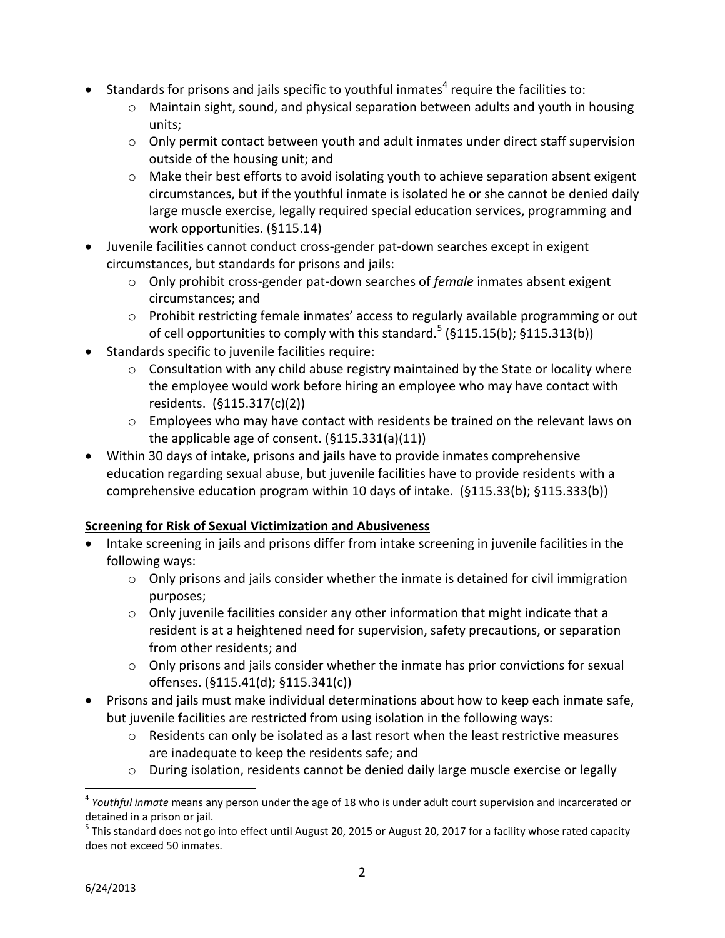- **•** Standards for prisons and jails specific to youthful inmates<sup>4</sup> require the facilities to:
	- o Maintain sight, sound, and physical separation between adults and youth in housing units;
	- o Only permit contact between youth and adult inmates under direct staff supervision outside of the housing unit; and
	- $\circ$  Make their best efforts to avoid isolating youth to achieve separation absent exigent circumstances, but if the youthful inmate is isolated he or she cannot be denied daily large muscle exercise, legally required special education services, programming and work opportunities. (§115.14)
- Juvenile facilities cannot conduct cross-gender pat-down searches except in exigent circumstances, but standards for prisons and jails:
	- o Only prohibit cross-gender pat-down searches of *female* inmates absent exigent circumstances; and
	- $\circ$  Prohibit restricting female inmates' access to regularly available programming or out of cell opportunities to comply with this standard.<sup>5</sup> (§115.15(b); §115.313(b))
- Standards specific to juvenile facilities require:
	- $\circ$  Consultation with any child abuse registry maintained by the State or locality where the employee would work before hiring an employee who may have contact with residents. (§115.317(c)(2))
	- o Employees who may have contact with residents be trained on the relevant laws on the applicable age of consent. (§115.331(a)(11))
- Within 30 days of intake, prisons and jails have to provide inmates comprehensive education regarding sexual abuse, but juvenile facilities have to provide residents with a comprehensive education program within 10 days of intake. (§115.33(b); §115.333(b))

# **Screening for Risk of Sexual Victimization and Abusiveness**

- Intake screening in jails and prisons differ from intake screening in juvenile facilities in the following ways:
	- $\circ$  Only prisons and jails consider whether the inmate is detained for civil immigration purposes;
	- $\circ$  Only juvenile facilities consider any other information that might indicate that a resident is at a heightened need for supervision, safety precautions, or separation from other residents; and
	- $\circ$  Only prisons and jails consider whether the inmate has prior convictions for sexual offenses. (§115.41(d); §115.341(c))
- Prisons and jails must make individual determinations about how to keep each inmate safe, but juvenile facilities are restricted from using isolation in the following ways:
	- o Residents can only be isolated as a last resort when the least restrictive measures are inadequate to keep the residents safe; and
	- o During isolation, residents cannot be denied daily large muscle exercise or legally

 $\overline{a}$ 

<sup>4</sup> *Youthful inmate* means any person under the age of 18 who is under adult court supervision and incarcerated or detained in a prison or jail.

<sup>&</sup>lt;sup>5</sup> This standard does not go into effect until August 20, 2015 or August 20, 2017 for a facility whose rated capacity does not exceed 50 inmates.